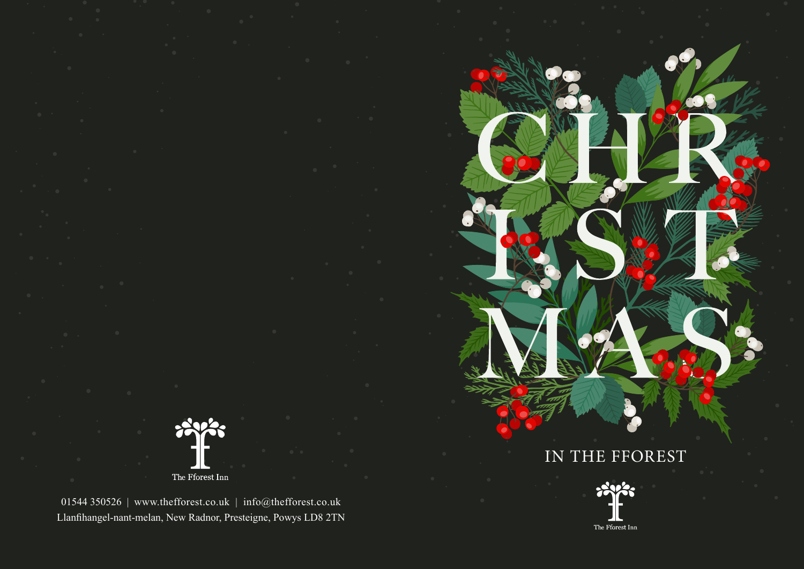The  $\operatorname{\mathsf{Fforest}}$   $\operatorname{\mathsf{Inn}}$ 

01544 350526 | www.thefforest.co.uk | info@thefforest.co.uk Llanfihangel-nant-melan, New Radnor, Presteigne, Powys LD8 2TN



The Fforest Inn